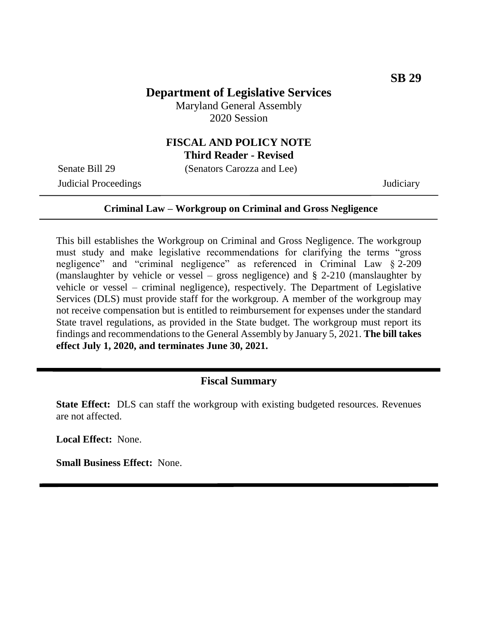## **Department of Legislative Services**

Maryland General Assembly 2020 Session

#### **FISCAL AND POLICY NOTE Third Reader - Revised**

Senate Bill 29 (Senators Carozza and Lee)

Judicial Proceedings Judiciary

#### **Criminal Law – Workgroup on Criminal and Gross Negligence**

This bill establishes the Workgroup on Criminal and Gross Negligence. The workgroup must study and make legislative recommendations for clarifying the terms "gross negligence" and "criminal negligence" as referenced in Criminal Law § 2-209 (manslaughter by vehicle or vessel – gross negligence) and § 2-210 (manslaughter by vehicle or vessel – criminal negligence), respectively. The Department of Legislative Services (DLS) must provide staff for the workgroup. A member of the workgroup may not receive compensation but is entitled to reimbursement for expenses under the standard State travel regulations, as provided in the State budget. The workgroup must report its findings and recommendations to the General Assembly by January 5, 2021. **The bill takes effect July 1, 2020, and terminates June 30, 2021.**

#### **Fiscal Summary**

**State Effect:** DLS can staff the workgroup with existing budgeted resources. Revenues are not affected.

**Local Effect:** None.

**Small Business Effect:** None.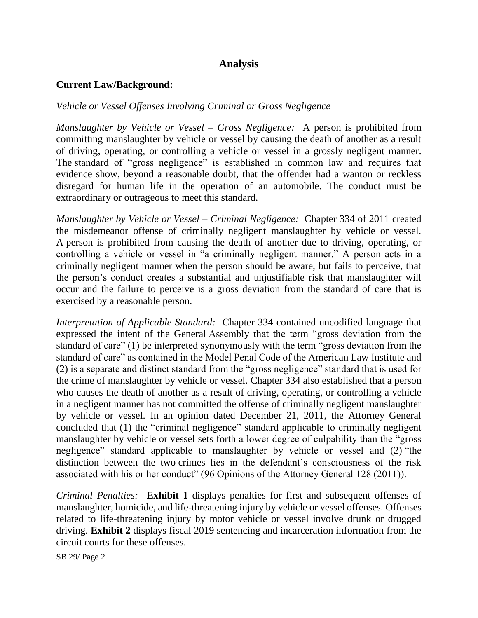# **Analysis**

#### **Current Law/Background:**

### *Vehicle or Vessel Offenses Involving Criminal or Gross Negligence*

*Manslaughter by Vehicle or Vessel – Gross Negligence:* A person is prohibited from committing manslaughter by vehicle or vessel by causing the death of another as a result of driving, operating, or controlling a vehicle or vessel in a grossly negligent manner. The standard of "gross negligence" is established in common law and requires that evidence show, beyond a reasonable doubt, that the offender had a wanton or reckless disregard for human life in the operation of an automobile. The conduct must be extraordinary or outrageous to meet this standard.

*Manslaughter by Vehicle or Vessel – Criminal Negligence:* Chapter 334 of 2011 created the misdemeanor offense of criminally negligent manslaughter by vehicle or vessel*.*  A person is prohibited from causing the death of another due to driving, operating, or controlling a vehicle or vessel in "a criminally negligent manner." A person acts in a criminally negligent manner when the person should be aware, but fails to perceive, that the person's conduct creates a substantial and unjustifiable risk that manslaughter will occur and the failure to perceive is a gross deviation from the standard of care that is exercised by a reasonable person.

*Interpretation of Applicable Standard:* Chapter 334 contained uncodified language that expressed the intent of the General Assembly that the term "gross deviation from the standard of care" (1) be interpreted synonymously with the term "gross deviation from the standard of care" as contained in the Model Penal Code of the American Law Institute and (2) is a separate and distinct standard from the "gross negligence" standard that is used for the crime of manslaughter by vehicle or vessel. Chapter 334 also established that a person who causes the death of another as a result of driving, operating, or controlling a vehicle in a negligent manner has not committed the offense of criminally negligent manslaughter by vehicle or vessel. In an opinion dated December 21, 2011, the Attorney General concluded that (1) the "criminal negligence" standard applicable to criminally negligent manslaughter by vehicle or vessel sets forth a lower degree of culpability than the "gross negligence" standard applicable to manslaughter by vehicle or vessel and (2) "the distinction between the two crimes lies in the defendant's consciousness of the risk associated with his or her conduct" (96 Opinions of the Attorney General 128 (2011)).

*Criminal Penalties:* **Exhibit 1** displays penalties for first and subsequent offenses of manslaughter, homicide, and life-threatening injury by vehicle or vessel offenses. Offenses related to life-threatening injury by motor vehicle or vessel involve drunk or drugged driving. **Exhibit 2** displays fiscal 2019 sentencing and incarceration information from the circuit courts for these offenses.

SB 29/ Page 2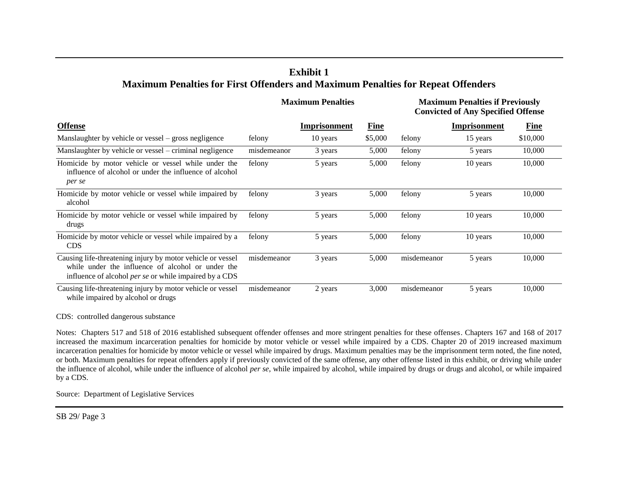## **Exhibit 1 Maximum Penalties for First Offenders and Maximum Penalties for Repeat Offenders**

|                                                                                                                                                                                  | <b>Maximum Penalties</b> |              |             | <b>Maximum Penalties if Previously</b><br><b>Convicted of Any Specified Offense</b> |                     |             |
|----------------------------------------------------------------------------------------------------------------------------------------------------------------------------------|--------------------------|--------------|-------------|-------------------------------------------------------------------------------------|---------------------|-------------|
| <b>Offense</b>                                                                                                                                                                   |                          | Imprisonment | <b>Fine</b> |                                                                                     | <b>Imprisonment</b> | <b>Fine</b> |
| Manslaughter by vehicle or vessel – gross negligence                                                                                                                             | felony                   | 10 years     | \$5,000     | felony                                                                              | 15 years            | \$10,000    |
| Manslaughter by vehicle or vessel – criminal negligence                                                                                                                          | misdemeanor              | 3 years      | 5,000       | felony                                                                              | 5 years             | 10,000      |
| Homicide by motor vehicle or vessel while under the<br>influence of alcohol or under the influence of alcohol<br>per se                                                          | felony                   | 5 years      | 5,000       | felony                                                                              | 10 years            | 10,000      |
| Homicide by motor vehicle or vessel while impaired by<br>alcohol                                                                                                                 | felony                   | 3 years      | 5,000       | felony                                                                              | 5 years             | 10,000      |
| Homicide by motor vehicle or vessel while impaired by<br>drugs                                                                                                                   | felony                   | 5 years      | 5,000       | felony                                                                              | 10 years            | 10,000      |
| Homicide by motor vehicle or vessel while impaired by a<br><b>CDS</b>                                                                                                            | felony                   | 5 years      | 5,000       | felony                                                                              | 10 years            | 10,000      |
| Causing life-threatening injury by motor vehicle or vessel<br>while under the influence of alcohol or under the<br>influence of alcohol <i>per se</i> or while impaired by a CDS | misdemeanor              | 3 years      | 5,000       | misdemeanor                                                                         | 5 years             | 10,000      |
| Causing life-threatening injury by motor vehicle or vessel<br>while impaired by alcohol or drugs                                                                                 | misdemeanor              | 2 years      | 3,000       | misdemeanor                                                                         | 5 years             | 10,000      |

CDS: controlled dangerous substance

Notes: Chapters 517 and 518 of 2016 established subsequent offender offenses and more stringent penalties for these offenses. Chapters 167 and 168 of 2017 increased the maximum incarceration penalties for homicide by motor vehicle or vessel while impaired by a CDS. Chapter 20 of 2019 increased maximum incarceration penalties for homicide by motor vehicle or vessel while impaired by drugs. Maximum penalties may be the imprisonment term noted, the fine noted, or both. Maximum penalties for repeat offenders apply if previously convicted of the same offense, any other offense listed in this exhibit, or driving while under the influence of alcohol, while under the influence of alcohol *per se*, while impaired by alcohol, while impaired by drugs or drugs and alcohol, or while impaired by a CDS.

Source: Department of Legislative Services

SB 29/ Page 3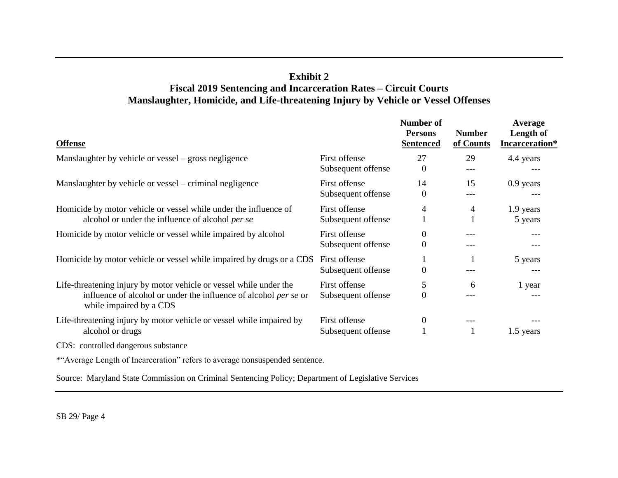## **Exhibit 2 Fiscal 2019 Sentencing and Incarceration Rates – Circuit Courts Manslaughter, Homicide, and Life-threatening Injury by Vehicle or Vessel Offenses**

| <b>Offense</b>                                                                                                                                                           |                                     | Number of<br><b>Persons</b><br><b>Sentenced</b> | <b>Number</b><br>of Counts | Average<br>Length of<br>Incarceration* |
|--------------------------------------------------------------------------------------------------------------------------------------------------------------------------|-------------------------------------|-------------------------------------------------|----------------------------|----------------------------------------|
| Manslaughter by vehicle or vessel – gross negligence                                                                                                                     | First offense<br>Subsequent offense | 27<br>$\Omega$                                  | 29<br>---                  | 4.4 years                              |
| Manslaughter by vehicle or vessel – criminal negligence                                                                                                                  | First offense<br>Subsequent offense | 14<br>$\overline{0}$                            | 15<br>---                  | $0.9$ years<br>---                     |
| Homicide by motor vehicle or vessel while under the influence of<br>alcohol or under the influence of alcohol per se                                                     | First offense<br>Subsequent offense | 4                                               | 4                          | 1.9 years<br>5 years                   |
| Homicide by motor vehicle or vessel while impaired by alcohol                                                                                                            | First offense<br>Subsequent offense | $\overline{0}$<br>$\overline{0}$                |                            | ---<br>---                             |
| Homicide by motor vehicle or vessel while impaired by drugs or a CDS                                                                                                     | First offense<br>Subsequent offense | $\overline{0}$                                  |                            | 5 years                                |
| Life-threatening injury by motor vehicle or vessel while under the<br>influence of alcohol or under the influence of alcohol <i>per se</i> or<br>while impaired by a CDS | First offense<br>Subsequent offense | 5<br>$\Omega$                                   | 6                          | 1 year                                 |
| Life-threatening injury by motor vehicle or vessel while impaired by<br>alcohol or drugs                                                                                 | First offense<br>Subsequent offense | $\overline{0}$                                  | ---                        | ---<br>1.5 years                       |
| CDS: controlled dangerous substance                                                                                                                                      |                                     |                                                 |                            |                                        |
| *"Average Length of Incarceration" refers to average nonsuspended sentence.                                                                                              |                                     |                                                 |                            |                                        |

Source: Maryland State Commission on Criminal Sentencing Policy; Department of Legislative Services

SB 29/ Page 4